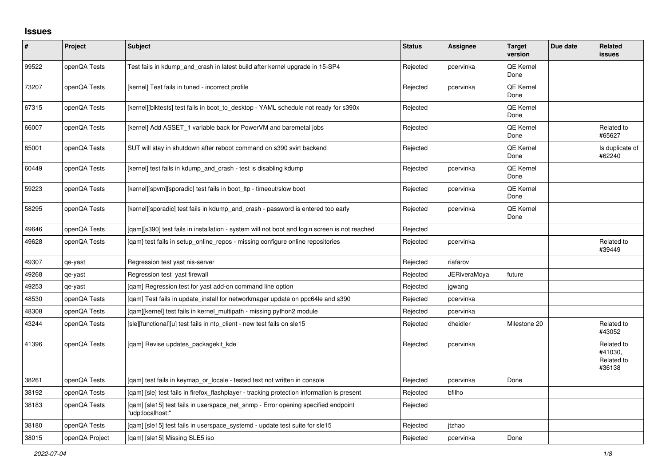## **Issues**

| #     | Project        | <b>Subject</b>                                                                                        | <b>Status</b> | <b>Assignee</b> | <b>Target</b><br>version | Due date | Related<br><b>issues</b>                      |
|-------|----------------|-------------------------------------------------------------------------------------------------------|---------------|-----------------|--------------------------|----------|-----------------------------------------------|
| 99522 | openQA Tests   | Test fails in kdump and crash in latest build after kernel upgrade in 15-SP4                          | Rejected      | pcervinka       | QE Kernel<br>Done        |          |                                               |
| 73207 | openQA Tests   | [kernel] Test fails in tuned - incorrect profile                                                      | Rejected      | pcervinka       | QE Kernel<br>Done        |          |                                               |
| 67315 | openQA Tests   | [kernel][blktests] test fails in boot to desktop - YAML schedule not ready for s390x                  | Rejected      |                 | QE Kernel<br>Done        |          |                                               |
| 66007 | openQA Tests   | [kernel] Add ASSET 1 variable back for PowerVM and baremetal jobs                                     | Rejected      |                 | QE Kernel<br>Done        |          | Related to<br>#65627                          |
| 65001 | openQA Tests   | SUT will stay in shutdown after reboot command on s390 svirt backend                                  | Rejected      |                 | QE Kernel<br>Done        |          | Is duplicate of<br>#62240                     |
| 60449 | openQA Tests   | [kernel] test fails in kdump_and_crash - test is disabling kdump                                      | Rejected      | pcervinka       | QE Kernel<br>Done        |          |                                               |
| 59223 | openQA Tests   | [kernel][spvm][sporadic] test fails in boot_ltp - timeout/slow boot                                   | Rejected      | pcervinka       | QE Kernel<br>Done        |          |                                               |
| 58295 | openQA Tests   | [kernel][sporadic] test fails in kdump_and_crash - password is entered too early                      | Rejected      | pcervinka       | QE Kernel<br>Done        |          |                                               |
| 49646 | openQA Tests   | [gam][s390] test fails in installation - system will not boot and login screen is not reached         | Rejected      |                 |                          |          |                                               |
| 49628 | openQA Tests   | [qam] test fails in setup_online_repos - missing configure online repositories                        | Rejected      | pcervinka       |                          |          | Related to<br>#39449                          |
| 49307 | qe-yast        | Regression test yast nis-server                                                                       | Rejected      | riafarov        |                          |          |                                               |
| 49268 | qe-yast        | Regression test yast firewall                                                                         | Rejected      | JERiveraMoya    | future                   |          |                                               |
| 49253 | qe-yast        | [gam] Regression test for yast add-on command line option                                             | Rejected      | jgwang          |                          |          |                                               |
| 48530 | openQA Tests   | [gam] Test fails in update install for networkmager update on ppc64le and s390                        | Rejected      | pcervinka       |                          |          |                                               |
| 48308 | openQA Tests   | [gam][kernel] test fails in kernel multipath - missing python2 module                                 | Rejected      | pcervinka       |                          |          |                                               |
| 43244 | openQA Tests   | [sle][functional][u] test fails in ntp_client - new test fails on sle15                               | Rejected      | dheidler        | Milestone 20             |          | Related to<br>#43052                          |
| 41396 | openQA Tests   | [qam] Revise updates_packagekit_kde                                                                   | Rejected      | pcervinka       |                          |          | Related to<br>#41030,<br>Related to<br>#36138 |
| 38261 | openQA Tests   | [gam] test fails in keymap or locale - tested text not written in console                             | Rejected      | pcervinka       | Done                     |          |                                               |
| 38192 | openQA Tests   | [qam] [sle] test fails in firefox_flashplayer - tracking protection information is present            | Rejected      | bfilho          |                          |          |                                               |
| 38183 | openQA Tests   | [gam] [sle15] test fails in userspace net snmp - Error opening specified endpoint<br>"udp:localhost:" | Rejected      |                 |                          |          |                                               |
| 38180 | openQA Tests   | [gam] [sle15] test fails in userspace systemd - update test suite for sle15                           | Rejected      | itzhao          |                          |          |                                               |
| 38015 | openQA Project | [gam] [sle15] Missing SLE5 iso                                                                        | Rejected      | pcervinka       | Done                     |          |                                               |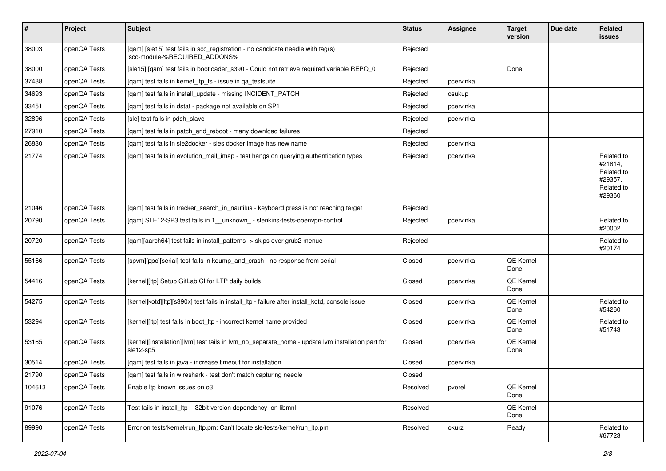| $\vert$ # | Project      | <b>Subject</b>                                                                                                  | <b>Status</b> | <b>Assignee</b> | <b>Target</b><br>version | Due date | Related<br>issues                                                      |
|-----------|--------------|-----------------------------------------------------------------------------------------------------------------|---------------|-----------------|--------------------------|----------|------------------------------------------------------------------------|
| 38003     | openQA Tests | [qam] [sle15] test fails in scc_registration - no candidate needle with tag(s)<br>'scc-module-%REQUIRED_ADDONS% | Rejected      |                 |                          |          |                                                                        |
| 38000     | openQA Tests | [sle15] [qam] test fails in bootloader_s390 - Could not retrieve required variable REPO_0                       | Rejected      |                 | Done                     |          |                                                                        |
| 37438     | openQA Tests | [qam] test fails in kernel_ltp_fs - issue in qa_testsuite                                                       | Rejected      | pcervinka       |                          |          |                                                                        |
| 34693     | openQA Tests | [qam] test fails in install_update - missing INCIDENT_PATCH                                                     | Rejected      | osukup          |                          |          |                                                                        |
| 33451     | openQA Tests | [gam] test fails in dstat - package not available on SP1                                                        | Rejected      | pcervinka       |                          |          |                                                                        |
| 32896     | openQA Tests | [sle] test fails in pdsh slave                                                                                  | Rejected      | pcervinka       |                          |          |                                                                        |
| 27910     | openQA Tests | [qam] test fails in patch_and_reboot - many download failures                                                   | Rejected      |                 |                          |          |                                                                        |
| 26830     | openQA Tests | [qam] test fails in sle2docker - sles docker image has new name                                                 | Rejected      | pcervinka       |                          |          |                                                                        |
| 21774     | openQA Tests | [qam] test fails in evolution_mail_imap - test hangs on querying authentication types                           | Rejected      | pcervinka       |                          |          | Related to<br>#21814,<br>Related to<br>#29357.<br>Related to<br>#29360 |
| 21046     | openQA Tests | [gam] test fails in tracker search in nautilus - keyboard press is not reaching target                          | Rejected      |                 |                          |          |                                                                        |
| 20790     | openQA Tests | [qam] SLE12-SP3 test fails in 1_unknown_-slenkins-tests-openvpn-control                                         | Rejected      | pcervinka       |                          |          | Related to<br>#20002                                                   |
| 20720     | openQA Tests | [qam][aarch64] test fails in install_patterns -> skips over grub2 menue                                         | Rejected      |                 |                          |          | Related to<br>#20174                                                   |
| 55166     | openQA Tests | [spvm][ppc][serial] test fails in kdump_and_crash - no response from serial                                     | Closed        | pcervinka       | QE Kernel<br>Done        |          |                                                                        |
| 54416     | openQA Tests | [kernel][ltp] Setup GitLab CI for LTP daily builds                                                              | Closed        | pcervinka       | QE Kernel<br>Done        |          |                                                                        |
| 54275     | openQA Tests | [kernel]kotd][ltp][s390x] test fails in install_ltp - failure after install_kotd, console issue                 | Closed        | pcervinka       | QE Kernel<br>Done        |          | Related to<br>#54260                                                   |
| 53294     | openQA Tests | [kernel][ltp] test fails in boot_ltp - incorrect kernel name provided                                           | Closed        | pcervinka       | QE Kernel<br>Done        |          | Related to<br>#51743                                                   |
| 53165     | openQA Tests | [kernel][installation][lvm] test fails in lvm_no_separate_home - update lvm installation part for<br>sle12-sp5  | Closed        | pcervinka       | QE Kernel<br>Done        |          |                                                                        |
| 30514     | openQA Tests | [gam] test fails in java - increase timeout for installation                                                    | Closed        | pcervinka       |                          |          |                                                                        |
| 21790     | openQA Tests | [qam] test fails in wireshark - test don't match capturing needle                                               | Closed        |                 |                          |          |                                                                        |
| 104613    | openQA Tests | Enable Itp known issues on o3                                                                                   | Resolved      | pvorel          | QE Kernel<br>Done        |          |                                                                        |
| 91076     | openQA Tests | Test fails in install_ltp - 32bit version dependency on libmnl                                                  | Resolved      |                 | QE Kernel<br>Done        |          |                                                                        |
| 89990     | openQA Tests | Error on tests/kernel/run_ltp.pm: Can't locate sle/tests/kernel/run_ltp.pm                                      | Resolved      | okurz           | Ready                    |          | Related to<br>#67723                                                   |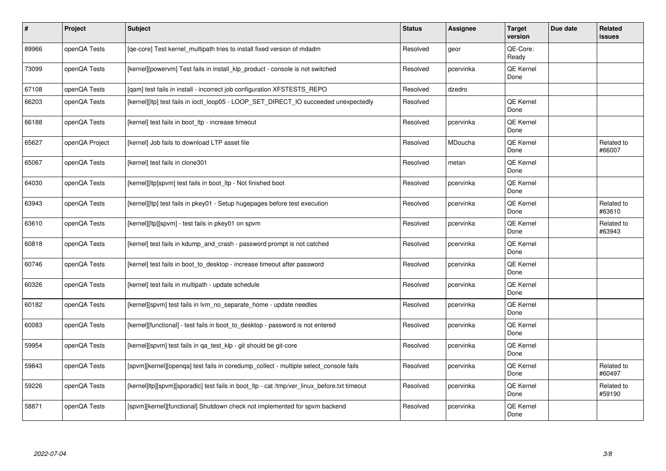| $\vert$ # | <b>Project</b> | <b>Subject</b>                                                                              | <b>Status</b> | Assignee  | <b>Target</b><br>version | Due date | Related<br><b>issues</b> |
|-----------|----------------|---------------------------------------------------------------------------------------------|---------------|-----------|--------------------------|----------|--------------------------|
| 89966     | openQA Tests   | [qe-core] Test kernel_multipath tries to install fixed version of mdadm                     | Resolved      | geor      | QE-Core:<br>Ready        |          |                          |
| 73099     | openQA Tests   | [kernel][powervm] Test fails in install_klp_product - console is not switched               | Resolved      | pcervinka | <b>QE Kernel</b><br>Done |          |                          |
| 67108     | openQA Tests   | [qam] test fails in install - incorrect job configuration XFSTESTS_REPO                     | Resolved      | dzedro    |                          |          |                          |
| 66203     | openQA Tests   | [kernel][ltp] test fails in ioctl_loop05 - LOOP_SET_DIRECT_IO succeeded unexpectedly        | Resolved      |           | QE Kernel<br>Done        |          |                          |
| 66188     | openQA Tests   | [kernel] test fails in boot Itp - increase timeout                                          | Resolved      | pcervinka | <b>QE Kernel</b><br>Done |          |                          |
| 65627     | openQA Project | [kernel] Job fails to download LTP asset file                                               | Resolved      | MDoucha   | QE Kernel<br>Done        |          | Related to<br>#66007     |
| 65067     | openQA Tests   | [kernel] test fails in clone301                                                             | Resolved      | metan     | QE Kernel<br>Done        |          |                          |
| 64030     | openQA Tests   | [kernel][ltp]spvm] test fails in boot_ltp - Not finished boot                               | Resolved      | pcervinka | QE Kernel<br>Done        |          |                          |
| 63943     | openQA Tests   | [kernel][ltp] test fails in pkey01 - Setup hugepages before test execution                  | Resolved      | pcervinka | <b>QE Kernel</b><br>Done |          | Related to<br>#63610     |
| 63610     | openQA Tests   | [kernel][ltp][spvm] - test fails in pkey01 on spvm                                          | Resolved      | pcervinka | <b>QE Kernel</b><br>Done |          | Related to<br>#63943     |
| 60818     | openQA Tests   | [kernel] test fails in kdump_and_crash - password prompt is not catched                     | Resolved      | pcervinka | QE Kernel<br>Done        |          |                          |
| 60746     | openQA Tests   | [kernel] test fails in boot to desktop - increase timeout after password                    | Resolved      | pcervinka | QE Kernel<br>Done        |          |                          |
| 60326     | openQA Tests   | [kernel] test fails in multipath - update schedule                                          | Resolved      | pcervinka | QE Kernel<br>Done        |          |                          |
| 60182     | openQA Tests   | [kernel][spvm] test fails in lvm no separate home - update needles                          | Resolved      | pcervinka | <b>QE Kernel</b><br>Done |          |                          |
| 60083     | openQA Tests   | [kernel][functional] - test fails in boot to desktop - password is not entered              | Resolved      | pcervinka | <b>QE Kernel</b><br>Done |          |                          |
| 59954     | openQA Tests   | [kernel][spvm] test fails in ga test klp - git should be git-core                           | Resolved      | pcervinka | <b>QE Kernel</b><br>Done |          |                          |
| 59843     | openQA Tests   | [spvm][kernel][openga] test fails in coredump collect - multiple select console fails       | Resolved      | pcervinka | QE Kernel<br>Done        |          | Related to<br>#60497     |
| 59226     | openQA Tests   | [kernel]ltp][spvm][sporadic] test fails in boot_ltp - cat /tmp/ver_linux_before.txt timeout | Resolved      | pcervinka | QE Kernel<br>Done        |          | Related to<br>#59190     |
| 58871     | openQA Tests   | [spvm][kernel][functional] Shutdown check not implemented for spvm backend                  | Resolved      | pcervinka | QE Kernel<br>Done        |          |                          |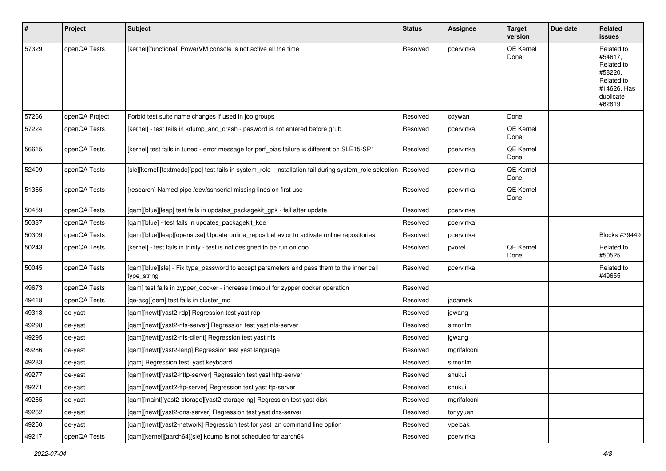| #     | Project        | Subject                                                                                                  | <b>Status</b> | <b>Assignee</b> | <b>Target</b><br>version | Due date | Related<br>issues                                                                                  |
|-------|----------------|----------------------------------------------------------------------------------------------------------|---------------|-----------------|--------------------------|----------|----------------------------------------------------------------------------------------------------|
| 57329 | openQA Tests   | [kernel][functional] PowerVM console is not active all the time                                          | Resolved      | pcervinka       | QE Kernel<br>Done        |          | Related to<br>#54617.<br>Related to<br>#58220.<br>Related to<br>#14626, Has<br>duplicate<br>#62819 |
| 57266 | openQA Project | Forbid test suite name changes if used in job groups                                                     | Resolved      | cdywan          | Done                     |          |                                                                                                    |
| 57224 | openQA Tests   | [kernel] - test fails in kdump_and_crash - pasword is not entered before grub                            | Resolved      | pcervinka       | QE Kernel<br>Done        |          |                                                                                                    |
| 56615 | openQA Tests   | [kernel] test fails in tuned - error message for perf_bias failure is different on SLE15-SP1             | Resolved      | pcervinka       | QE Kernel<br>Done        |          |                                                                                                    |
| 52409 | openQA Tests   | [sle][kernel][textmode][ppc] test fails in system_role - installation fail during system_role selection  | Resolved      | pcervinka       | QE Kernel<br>Done        |          |                                                                                                    |
| 51365 | openQA Tests   | [research] Named pipe /dev/sshserial missing lines on first use                                          | Resolved      | pcervinka       | QE Kernel<br>Done        |          |                                                                                                    |
| 50459 | openQA Tests   | [qam][blue][leap] test fails in updates_packagekit_gpk - fail after update                               | Resolved      | pcervinka       |                          |          |                                                                                                    |
| 50387 | openQA Tests   | [qam][blue] - test fails in updates_packagekit_kde                                                       | Resolved      | pcervinka       |                          |          |                                                                                                    |
| 50309 | openQA Tests   | [qam][blue][leap][opensuse] Update online_repos behavior to activate online repositories                 | Resolved      | pcervinka       |                          |          | Blocks #39449                                                                                      |
| 50243 | openQA Tests   | [kernel] - test fails in trinity - test is not designed to be run on ooo                                 | Resolved      | pvorel          | <b>QE Kernel</b><br>Done |          | Related to<br>#50525                                                                               |
| 50045 | openQA Tests   | [qam][blue][sle] - Fix type_password to accept parameters and pass them to the inner call<br>type_string | Resolved      | pcervinka       |                          |          | Related to<br>#49655                                                                               |
| 49673 | openQA Tests   | [qam] test fails in zypper_docker - increase timeout for zypper docker operation                         | Resolved      |                 |                          |          |                                                                                                    |
| 49418 | openQA Tests   | [qe-asg][qem] test fails in cluster_md                                                                   | Resolved      | jadamek         |                          |          |                                                                                                    |
| 49313 | qe-yast        | [gam][newt][yast2-rdp] Regression test yast rdp                                                          | Resolved      | jgwang          |                          |          |                                                                                                    |
| 49298 | qe-yast        | [qam][newt][yast2-nfs-server] Regression test yast nfs-server                                            | Resolved      | simonlm         |                          |          |                                                                                                    |
| 49295 | qe-yast        | [qam][newt][yast2-nfs-client] Regression test yast nfs                                                   | Resolved      | jgwang          |                          |          |                                                                                                    |
| 49286 | qe-yast        | [qam][newt][yast2-lang] Regression test yast language                                                    | Resolved      | mgrifalconi     |                          |          |                                                                                                    |
| 49283 | qe-yast        | [qam] Regression test yast keyboard                                                                      | Resolved      | simonlm         |                          |          |                                                                                                    |
| 49277 | qe-yast        | [qam][newt][yast2-http-server] Regression test yast http-server                                          | Resolved      | shukui          |                          |          |                                                                                                    |
| 49271 | qe-yast        | [qam][newt][yast2-ftp-server] Regression test yast ftp-server                                            | Resolved      | shukui          |                          |          |                                                                                                    |
| 49265 | qe-yast        | [qam][maint][yast2-storage][yast2-storage-ng] Regression test yast disk                                  | Resolved      | mgrifalconi     |                          |          |                                                                                                    |
| 49262 | qe-yast        | [qam][newt][yast2-dns-server] Regression test yast dns-server                                            | Resolved      | tonyyuan        |                          |          |                                                                                                    |
| 49250 | qe-yast        | [qam][newt][yast2-network] Regression test for yast lan command line option                              | Resolved      | vpelcak         |                          |          |                                                                                                    |
| 49217 | openQA Tests   | [qam][kernel][aarch64][sle] kdump is not scheduled for aarch64                                           | Resolved      | pcervinka       |                          |          |                                                                                                    |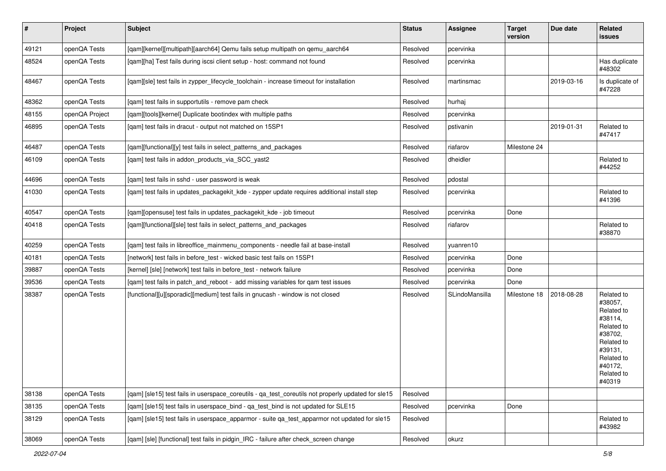| $\vert$ # | Project        | <b>Subject</b>                                                                                     | <b>Status</b> | Assignee       | <b>Target</b><br>version | Due date   | Related<br>issues                                                                                                                                 |
|-----------|----------------|----------------------------------------------------------------------------------------------------|---------------|----------------|--------------------------|------------|---------------------------------------------------------------------------------------------------------------------------------------------------|
| 49121     | openQA Tests   | [qam][kernel][multipath][aarch64] Qemu fails setup multipath on qemu_aarch64                       | Resolved      | pcervinka      |                          |            |                                                                                                                                                   |
| 48524     | openQA Tests   | [qam][ha] Test fails during iscsi client setup - host: command not found                           | Resolved      | pcervinka      |                          |            | Has duplicate<br>#48302                                                                                                                           |
| 48467     | openQA Tests   | [qam][sle] test fails in zypper_lifecycle_toolchain - increase timeout for installation            | Resolved      | martinsmac     |                          | 2019-03-16 | Is duplicate of<br>#47228                                                                                                                         |
| 48362     | openQA Tests   | [qam] test fails in supportutils - remove pam check                                                | Resolved      | hurhaj         |                          |            |                                                                                                                                                   |
| 48155     | openQA Project | [qam][tools][kernel] Duplicate bootindex with multiple paths                                       | Resolved      | pcervinka      |                          |            |                                                                                                                                                   |
| 46895     | openQA Tests   | [qam] test fails in dracut - output not matched on 15SP1                                           | Resolved      | pstivanin      |                          | 2019-01-31 | Related to<br>#47417                                                                                                                              |
| 46487     | openQA Tests   | [gam][functional][y] test fails in select patterns and packages                                    | Resolved      | riafarov       | Milestone 24             |            |                                                                                                                                                   |
| 46109     | openQA Tests   | [qam] test fails in addon_products_via_SCC_yast2                                                   | Resolved      | dheidler       |                          |            | Related to<br>#44252                                                                                                                              |
| 44696     | openQA Tests   | [qam] test fails in sshd - user password is weak                                                   | Resolved      | pdostal        |                          |            |                                                                                                                                                   |
| 41030     | openQA Tests   | [qam] test fails in updates_packagekit_kde - zypper update requires additional install step        | Resolved      | pcervinka      |                          |            | Related to<br>#41396                                                                                                                              |
| 40547     | openQA Tests   | [qam][opensuse] test fails in updates_packagekit_kde - job timeout                                 | Resolved      | pcervinka      | Done                     |            |                                                                                                                                                   |
| 40418     | openQA Tests   | [qam][functional][sle] test fails in select_patterns_and_packages                                  | Resolved      | riafarov       |                          |            | Related to<br>#38870                                                                                                                              |
| 40259     | openQA Tests   | [qam] test fails in libreoffice_mainmenu_components - needle fail at base-install                  | Resolved      | yuanren10      |                          |            |                                                                                                                                                   |
| 40181     | openQA Tests   | [network] test fails in before_test - wicked basic test fails on 15SP1                             | Resolved      | pcervinka      | Done                     |            |                                                                                                                                                   |
| 39887     | openQA Tests   | [kernel] [sle] [network] test fails in before_test - network failure                               | Resolved      | pcervinka      | Done                     |            |                                                                                                                                                   |
| 39536     | openQA Tests   | [qam] test fails in patch_and_reboot - add missing variables for qam test issues                   | Resolved      | pcervinka      | Done                     |            |                                                                                                                                                   |
| 38387     | openQA Tests   | [functional][u][sporadic][medium] test fails in gnucash - window is not closed                     | Resolved      | SLindoMansilla | Milestone 18             | 2018-08-28 | Related to<br>#38057,<br>Related to<br>#38114,<br>Related to<br>#38702,<br>Related to<br>#39131,<br>Related to<br>#40172,<br>Related to<br>#40319 |
| 38138     | openQA Tests   | [qam] [sle15] test fails in userspace_coreutils - qa_test_coreutils not properly updated for sle15 | Resolved      |                |                          |            |                                                                                                                                                   |
| 38135     | openQA Tests   | [qam] [sle15] test fails in userspace_bind - qa_test_bind is not updated for SLE15                 | Resolved      | pcervinka      | Done                     |            |                                                                                                                                                   |
| 38129     | openQA Tests   | [qam] [sle15] test fails in userspace_apparmor - suite qa_test_apparmor not updated for sle15      | Resolved      |                |                          |            | Related to<br>#43982                                                                                                                              |
| 38069     | openQA Tests   | [qam] [sle] [functional] test fails in pidgin_IRC - failure after check_screen change              | Resolved      | okurz          |                          |            |                                                                                                                                                   |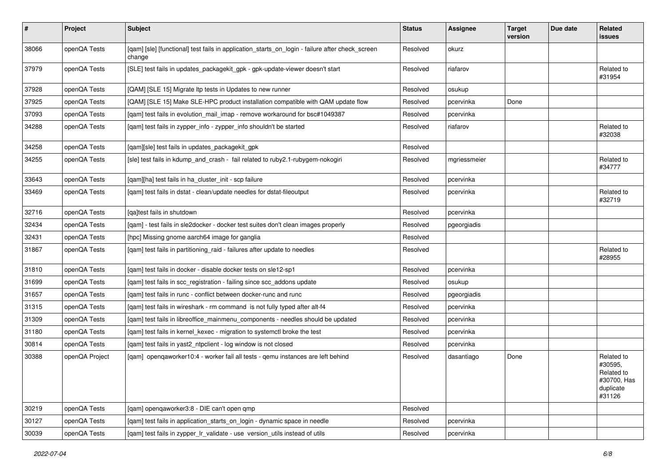| $\sharp$ | Project        | <b>Subject</b>                                                                                            | <b>Status</b> | Assignee     | <b>Target</b><br>version | Due date | Related<br>issues                                                         |
|----------|----------------|-----------------------------------------------------------------------------------------------------------|---------------|--------------|--------------------------|----------|---------------------------------------------------------------------------|
| 38066    | openQA Tests   | [qam] [sle] [functional] test fails in application_starts_on_login - failure after check_screen<br>change | Resolved      | okurz        |                          |          |                                                                           |
| 37979    | openQA Tests   | [SLE] test fails in updates_packagekit_gpk - gpk-update-viewer doesn't start                              | Resolved      | riafarov     |                          |          | Related to<br>#31954                                                      |
| 37928    | openQA Tests   | [QAM] [SLE 15] Migrate Itp tests in Updates to new runner                                                 | Resolved      | osukup       |                          |          |                                                                           |
| 37925    | openQA Tests   | [QAM] [SLE 15] Make SLE-HPC product installation compatible with QAM update flow                          | Resolved      | pcervinka    | Done                     |          |                                                                           |
| 37093    | openQA Tests   | [qam] test fails in evolution_mail_imap - remove workaround for bsc#1049387                               | Resolved      | pcervinka    |                          |          |                                                                           |
| 34288    | openQA Tests   | [qam] test fails in zypper_info - zypper_info shouldn't be started                                        | Resolved      | riafarov     |                          |          | Related to<br>#32038                                                      |
| 34258    | openQA Tests   | [qam][sle] test fails in updates_packagekit_gpk                                                           | Resolved      |              |                          |          |                                                                           |
| 34255    | openQA Tests   | [sle] test fails in kdump_and_crash - fail related to ruby2.1-rubygem-nokogiri                            | Resolved      | mgriessmeier |                          |          | Related to<br>#34777                                                      |
| 33643    | openQA Tests   | [gam][ha] test fails in ha cluster init - scp failure                                                     | Resolved      | pcervinka    |                          |          |                                                                           |
| 33469    | openQA Tests   | [qam] test fails in dstat - clean/update needles for dstat-fileoutput                                     | Resolved      | pcervinka    |                          |          | Related to<br>#32719                                                      |
| 32716    | openQA Tests   | [ga]test fails in shutdown                                                                                | Resolved      | pcervinka    |                          |          |                                                                           |
| 32434    | openQA Tests   | [qam] - test fails in sle2docker - docker test suites don't clean images properly                         | Resolved      | pgeorgiadis  |                          |          |                                                                           |
| 32431    | openQA Tests   | [hpc] Missing gnome aarch64 image for ganglia                                                             | Resolved      |              |                          |          |                                                                           |
| 31867    | openQA Tests   | [qam] test fails in partitioning_raid - failures after update to needles                                  | Resolved      |              |                          |          | Related to<br>#28955                                                      |
| 31810    | openQA Tests   | [qam] test fails in docker - disable docker tests on sle12-sp1                                            | Resolved      | pcervinka    |                          |          |                                                                           |
| 31699    | openQA Tests   | [qam] test fails in scc_registration - failing since scc_addons update                                    | Resolved      | osukup       |                          |          |                                                                           |
| 31657    | openQA Tests   | [qam] test fails in runc - conflict between docker-runc and runc                                          | Resolved      | pgeorgiadis  |                          |          |                                                                           |
| 31315    | openQA Tests   | [qam] test fails in wireshark - rm command is not fully typed after alt-f4                                | Resolved      | pcervinka    |                          |          |                                                                           |
| 31309    | openQA Tests   | [qam] test fails in libreoffice_mainmenu_components - needles should be updated                           | Resolved      | pcervinka    |                          |          |                                                                           |
| 31180    | openQA Tests   | [gam] test fails in kernel kexec - migration to systemctl broke the test                                  | Resolved      | pcervinka    |                          |          |                                                                           |
| 30814    | openQA Tests   | [qam] test fails in yast2_ntpclient - log window is not closed                                            | Resolved      | pcervinka    |                          |          |                                                                           |
| 30388    | openQA Project | [qam] openqaworker10:4 - worker fail all tests - qemu instances are left behind                           | Resolved      | dasantiago   | Done                     |          | Related to<br>#30595.<br>Related to<br>#30700, Has<br>duplicate<br>#31126 |
| 30219    | openQA Tests   | [qam] openqaworker3:8 - DIE can't open qmp                                                                | Resolved      |              |                          |          |                                                                           |
| 30127    | openQA Tests   | [qam] test fails in application_starts_on_login - dynamic space in needle                                 | Resolved      | pcervinka    |                          |          |                                                                           |
| 30039    | openQA Tests   | [qam] test fails in zypper_lr_validate - use version_utils instead of utils                               | Resolved      | pcervinka    |                          |          |                                                                           |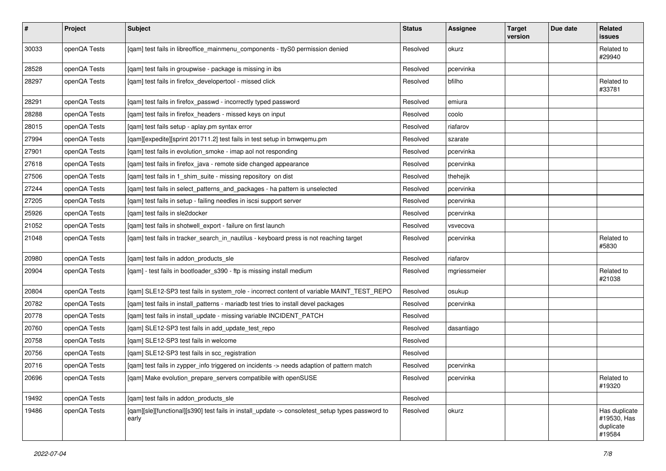| $\sharp$ | <b>Project</b> | Subject                                                                                                   | <b>Status</b> | Assignee     | <b>Target</b><br>version | Due date | Related<br>issues                                   |
|----------|----------------|-----------------------------------------------------------------------------------------------------------|---------------|--------------|--------------------------|----------|-----------------------------------------------------|
| 30033    | openQA Tests   | [qam] test fails in libreoffice_mainmenu_components - ttyS0 permission denied                             | Resolved      | okurz        |                          |          | Related to<br>#29940                                |
| 28528    | openQA Tests   | [qam] test fails in groupwise - package is missing in ibs                                                 | Resolved      | pcervinka    |                          |          |                                                     |
| 28297    | openQA Tests   | [qam] test fails in firefox_developertool - missed click                                                  | Resolved      | bfilho       |                          |          | Related to<br>#33781                                |
| 28291    | openQA Tests   | [qam] test fails in firefox_passwd - incorrectly typed password                                           | Resolved      | emiura       |                          |          |                                                     |
| 28288    | openQA Tests   | [qam] test fails in firefox_headers - missed keys on input                                                | Resolved      | coolo        |                          |          |                                                     |
| 28015    | openQA Tests   | [qam] test fails setup - aplay.pm syntax error                                                            | Resolved      | riafarov     |                          |          |                                                     |
| 27994    | openQA Tests   | [qam][expedite][sprint 201711.2] test fails in test setup in bmwqemu.pm                                   | Resolved      | szarate      |                          |          |                                                     |
| 27901    | openQA Tests   | [qam] test fails in evolution_smoke - imap aol not responding                                             | Resolved      | pcervinka    |                          |          |                                                     |
| 27618    | openQA Tests   | [qam] test fails in firefox_java - remote side changed appearance                                         | Resolved      | pcervinka    |                          |          |                                                     |
| 27506    | openQA Tests   | [qam] test fails in 1_shim_suite - missing repository on dist                                             | Resolved      | thehejik     |                          |          |                                                     |
| 27244    | openQA Tests   | [qam] test fails in select_patterns_and_packages - ha pattern is unselected                               | Resolved      | pcervinka    |                          |          |                                                     |
| 27205    | openQA Tests   | [qam] test fails in setup - failing needles in iscsi support server                                       | Resolved      | pcervinka    |                          |          |                                                     |
| 25926    | openQA Tests   | [gam] test fails in sle2docker                                                                            | Resolved      | pcervinka    |                          |          |                                                     |
| 21052    | openQA Tests   | [qam] test fails in shotwell_export - failure on first launch                                             | Resolved      | vsvecova     |                          |          |                                                     |
| 21048    | openQA Tests   | [qam] test fails in tracker_search_in_nautilus - keyboard press is not reaching target                    | Resolved      | pcervinka    |                          |          | Related to<br>#5830                                 |
| 20980    | openQA Tests   | [qam] test fails in addon_products_sle                                                                    | Resolved      | riafarov     |                          |          |                                                     |
| 20904    | openQA Tests   | [qam] - test fails in bootloader_s390 - ftp is missing install medium                                     | Resolved      | mgriessmeier |                          |          | Related to<br>#21038                                |
| 20804    | openQA Tests   | [qam] SLE12-SP3 test fails in system_role - incorrect content of variable MAINT_TEST_REPO                 | Resolved      | osukup       |                          |          |                                                     |
| 20782    | openQA Tests   | [qam] test fails in install_patterns - mariadb test tries to install devel packages                       | Resolved      | pcervinka    |                          |          |                                                     |
| 20778    | openQA Tests   | [qam] test fails in install_update - missing variable INCIDENT_PATCH                                      | Resolved      |              |                          |          |                                                     |
| 20760    | openQA Tests   | [qam] SLE12-SP3 test fails in add_update_test_repo                                                        | Resolved      | dasantiago   |                          |          |                                                     |
| 20758    | openQA Tests   | [gam] SLE12-SP3 test fails in welcome                                                                     | Resolved      |              |                          |          |                                                     |
| 20756    | openQA Tests   | [qam] SLE12-SP3 test fails in scc_registration                                                            | Resolved      |              |                          |          |                                                     |
| 20716    | openQA Tests   | [qam] test fails in zypper_info triggered on incidents -> needs adaption of pattern match                 | Resolved      | pcervinka    |                          |          |                                                     |
| 20696    | openQA Tests   | [qam] Make evolution_prepare_servers compatibile with openSUSE                                            | Resolved      | pcervinka    |                          |          | Related to<br>#19320                                |
| 19492    | openQA Tests   | [gam] test fails in addon products sle                                                                    | Resolved      |              |                          |          |                                                     |
| 19486    | openQA Tests   | [qam][sle][functional][s390] test fails in install_update -> consoletest_setup types password to<br>early | Resolved      | okurz        |                          |          | Has duplicate<br>#19530, Has<br>duplicate<br>#19584 |